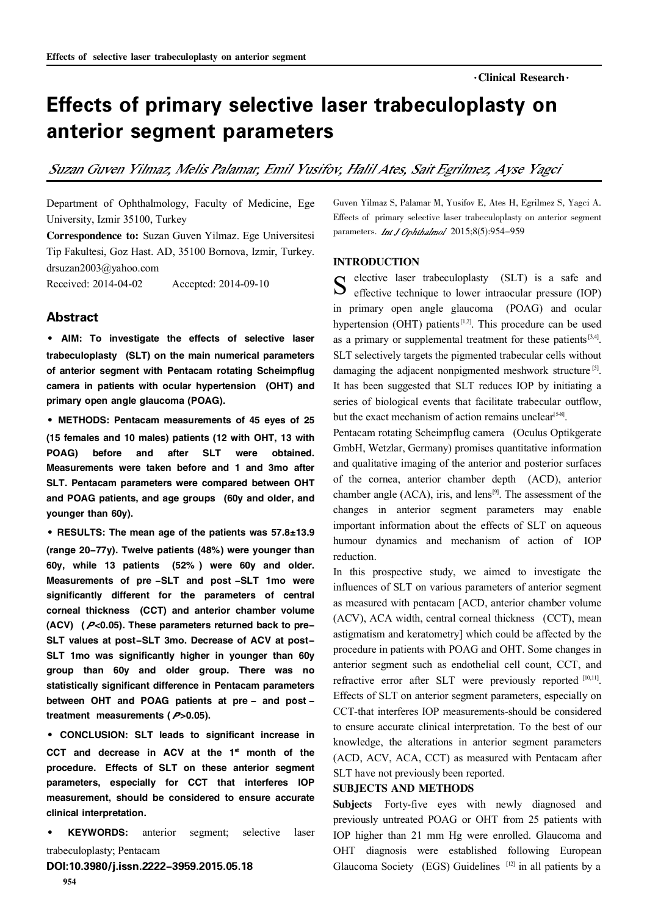# Effects of primary selective laser trabeculoplasty on anterior segment parameters

Suzan Guven Yilmaz, Melis Palamar, Emil Yusifov, Halil Ates, Sait Egrilmez, Ayse Yagci

Department of Ophthalmology, Faculty of Medicine, Ege University, Izmir 35100, Turkey

Correspondence to: Suzan Guven Yilmaz. Ege Universitesi Tip Fakultesi, Goz Hast. AD, 35100 Bornova, Izmir, Turkey. drsuzan2003@yahoo.com Received: 2014-04-02 Accepted: 2014-09-10

## Abstract

· AIM: To investigate the effects of selective laser trabeculoplasty (SLT) on the main numerical parameters of anterior segment with Pentacam rotating Scheimpflug camera in patients with ocular hypertension (OHT) and primary open angle glaucoma (POAG).

·METHODS: Pentacam measurements of <sup>45</sup> eyes of <sup>25</sup> (15 females and 10 males) patients (12 with OHT, 13 with POAG) before and after SLT were obtained. Measurements were taken before and 1 and 3mo after SLT. Pentacam parameters were compared between OHT and POAG patients, and age groups (60y and older, and younger than 60y).

• RESULTS: The mean age of the patients was 57.8±13.9 (range 20-77y). Twelve patients (48%) were younger than 60y, while 13 patients (52% ) were 60y and older. Measurements of pre -SLT and post -SLT 1mo were significantly different for the parameters of central corneal thickness (CCT) and anterior chamber volume (ACV) ( $P<0.05$ ). These parameters returned back to pre-SLT values at post-SLT 3mo. Decrease of ACV at post-SLT 1mo was significantly higher in younger than 60y group than 60y and older group. There was no statistically significant difference in Pentacam parameters between OHT and POAG patients at pre - and post treatment measurements ( $P > 0.05$ ).

·CONCLUSION: SLT leads to significant increase in CCT and decrease in ACV at the  $1<sup>st</sup>$  month of the procedure. Effects of SLT on these anterior segment parameters, especially for CCT that interferes IOP measurement, should be considered to ensure accurate clinical interpretation.

KEYWORDS: anterior segment; selective laser trabeculoplasty; Pentacam

DOI:10.3980/j.issn.2222-3959.2015.05.18

Guven Yilmaz S, Palamar M, Yusifov E, Ates H, Egrilmez S, Yagci A. Effects of primary selective laser trabeculoplasty on anterior segment parameters. *Int J Ophthalmol* 2015;8(5):954-959

#### INTRODUCTION

S elective laser trabeculoplasty (SLT) is a safe and effective technique to lower intraocular pressure (IOP) effective technique to lower intraocular pressure (IOP) in primary open angle glaucoma (POAG) and ocular hypertension (OHT) patients<sup>[1,2]</sup>. This procedure can be used as a primary or supplemental treatment for these patients  $[3,4]$ . SLT selectively targets the pigmented trabecular cells without damaging the adjacent nonpigmented meshwork structure<sup>[5]</sup>. It has been suggested that SLT reduces IOP by initiating a series of biological events that facilitate trabecular outflow, but the exact mechanism of action remains unclear<sup>[5-8]</sup>.

Pentacam rotating Scheimpflug camera (Oculus Optikgerate GmbH, Wetzlar, Germany) promises quantitative information and qualitative imaging of the anterior and posterior surfaces of the cornea, anterior chamber depth (ACD), anterior chamber angle  $(ACA)$ , iris, and lens<sup>[9]</sup>. The assessment of the changes in anterior segment parameters may enable important information about the effects of SLT on aqueous humour dynamics and mechanism of action of IOP reduction.

In this prospective study, we aimed to investigate the influences of SLT on various parameters of anterior segment as measured with pentacam [ACD, anterior chamber volume (ACV), ACA width, central corneal thickness (CCT), mean astigmatism and keratometry] which could be affected by the procedure in patients with POAG and OHT. Some changes in anterior segment such as endothelial cell count, CCT, and refractive error after SLT were previously reported [10,11]. Effects of SLT on anterior segment parameters, especially on CCT-that interferes IOP measurements-should be considered to ensure accurate clinical interpretation. To the best of our knowledge, the alterations in anterior segment parameters (ACD, ACV, ACA, CCT) as measured with Pentacam after SLT have not previously been reported.

# SUBJECTS AND METHODS

Subjects Forty-five eyes with newly diagnosed and previously untreated POAG or OHT from 25 patients with IOP higher than 21 mm Hg were enrolled. Glaucoma and OHT diagnosis were established following European Glaucoma Society (EGS) Guidelines  $[12]$  in all patients by a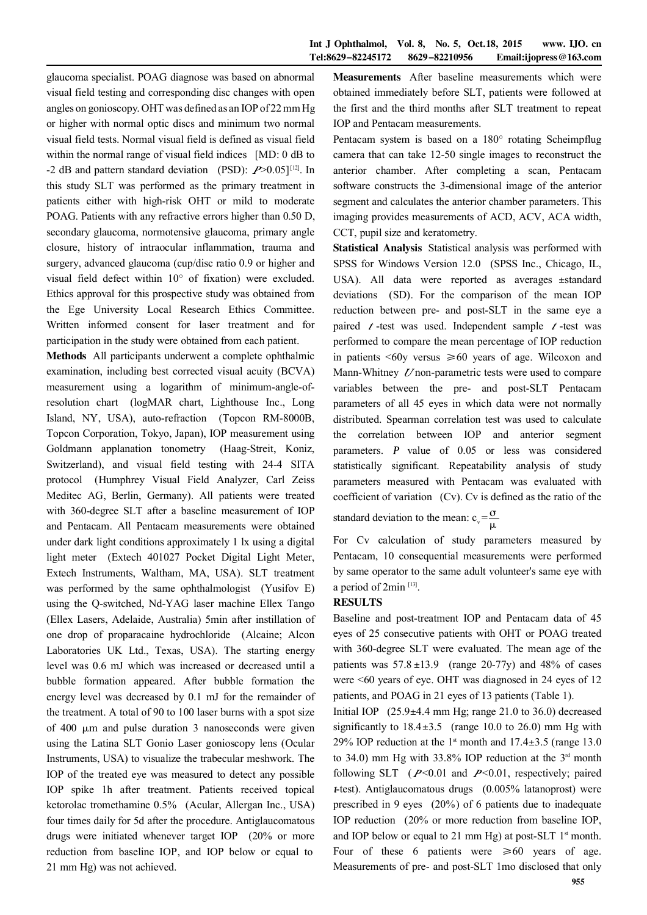glaucoma specialist. POAG diagnose was based on abnormal visual field testing and corresponding disc changes with open angles on gonioscopy. OHT was defined as an IOPof 22mmHg or higher with normal optic discs and minimum two normal visual field tests. Normal visual field is defined as visual field within the normal range of visual field indices [MD: 0 dB to -2 dB and pattern standard deviation (PSD):  $P > 0.05$ <sup>[12]</sup>. In this study SLT was performed as the primary treatment in patients either with high-risk OHT or mild to moderate POAG. Patients with any refractive errors higher than 0.50 D, secondary glaucoma, normotensive glaucoma, primary angle closure, history of intraocular inflammation, trauma and surgery, advanced glaucoma (cup/disc ratio 0.9 or higher and visual field defect within  $10^{\circ}$  of fixation) were excluded. Ethics approval for this prospective study was obtained from the Ege University Local Research Ethics Committee. Written informed consent for laser treatment and for participation in the study were obtained from each patient.

Methods All participants underwent a complete ophthalmic examination, including best corrected visual acuity (BCVA) measurement using a logarithm of minimum-angle-ofresolution chart (logMAR chart, Lighthouse Inc., Long Island, NY, USA), auto-refraction (Topcon RM-8000B, Topcon Corporation, Tokyo, Japan), IOP measurement using Goldmann applanation tonometry (Haag-Streit, Koniz, Switzerland), and visual field testing with 24-4 SITA protocol (Humphrey Visual Field Analyzer, Carl Zeiss Meditec AG, Berlin, Germany). All patients were treated with 360-degree SLT after a baseline measurement of IOP and Pentacam. All Pentacam measurements were obtained under dark light conditions approximately 1 lx using a digital light meter (Extech 401027 Pocket Digital Light Meter, Extech Instruments, Waltham, MA, USA). SLT treatment was performed by the same ophthalmologist (Yusifov E) using the Q-switched, Nd-YAG laser machine Ellex Tango (Ellex Lasers, Adelaide, Australia) 5min after instillation of one drop of proparacaine hydrochloride (Alcaine; Alcon Laboratories UK Ltd., Texas, USA). The starting energy level was 0.6 mJ which was increased or decreased until a bubble formation appeared. After bubble formation the energy level was decreased by 0.1 mJ for the remainder of the treatment. A total of 90 to 100 laser burns with a spot size of  $400 \mu m$  and pulse duration 3 nanoseconds were given using the Latina SLT Gonio Laser gonioscopy lens (Ocular Instruments, USA) to visualize the trabecular meshwork. The IOP of the treated eye was measured to detect any possible IOP spike 1h after treatment. Patients received topical ketorolac tromethamine 0.5% (Acular, Allergan Inc., USA) four times daily for 5d after the procedure. Antiglaucomatous drugs were initiated whenever target IOP (20% or more reduction from baseline IOP, and IOP below or equal to 21 mm Hg) was not achieved.

Measurements After baseline measurements which were obtained immediately before SLT, patients were followed at the first and the third months after SLT treatment to repeat IOP and Pentacam measurements.

Pentacam system is based on a  $180^\circ$  rotating Scheimpflug camera that can take 12-50 single images to reconstruct the anterior chamber. After completing a scan, Pentacam software constructs the 3-dimensional image of the anterior segment and calculates the anterior chamber parameters. This imaging provides measurements of ACD, ACV, ACA width, CCT, pupil size and keratometry.

Statistical Analysis Statistical analysis was performed with SPSS for Windows Version 12.0 (SPSS Inc., Chicago, IL, USA). All data were reported as averages ±standard deviations (SD). For the comparison of the mean IOP reduction between pre- and post-SLT in the same eye a paired  $t$ -test was used. Independent sample  $t$ -test was performed to compare the mean percentage of IOP reduction in patients  $\leq 60y$  versus  $\geq 60y$  years of age. Wilcoxon and Mann-Whitney  $U$  non-parametric tests were used to compare variables between the pre- and post-SLT Pentacam parameters of all 45 eyes in which data were not normally distributed. Spearman correlation test was used to calculate the correlation between IOP and anterior segment parameters.  $P$  value of  $0.05$  or less was considered statistically significant. Repeatability analysis of study parameters measured with Pentacam was evaluated with coefficient of variation (Cv). Cv is defined as the ratio of the

standard deviation to the mean:  $c_v = \frac{\sigma}{\mu}$ μ

For Cv calculation of study parameters measured by Pentacam, 10 consequential measurements were performed by same operator to the same adult volunteer's same eye with a period of 2min<sup>[13]</sup>.

# RESULTS

Baseline and post-treatment IOP and Pentacam data of 45 eyes of 25 consecutive patients with OHT or POAG treated with 360-degree SLT were evaluated. The mean age of the patients was  $57.8 \pm 13.9$  (range 20-77y) and 48% of cases were <60 years of eye. OHT was diagnosed in 24 eyes of 12 patients, and POAG in 21 eyes of 13 patients (Table 1).

Initial IOP  $(25.9\pm4.4 \text{ mm Hg})$ ; range 21.0 to 36.0) decreased significantly to  $18.4 \pm 3.5$  (range 10.0 to 26.0) mm Hg with 29% IOP reduction at the 1<sup>st</sup> month and  $17.4 \pm 3.5$  (range 13.0) to 34.0) mm Hg with  $33.8\%$  IOP reduction at the  $3<sup>rd</sup>$  month following SLT  $(P<0.01$  and  $P<0.01$ , respectively; paired  $t$ -test). Antiglaucomatous drugs  $(0.005\%$  latanoprost) were prescribed in 9 eyes (20%) of 6 patients due to inadequate IOP reduction (20% or more reduction from baseline IOP, and IOP below or equal to 21 mm Hg) at post-SLT  $1<sup>st</sup>$  month. Four of these 6 patients were  $\geq 60$  years of age. Measurements of pre- and post-SLT 1mo disclosed that only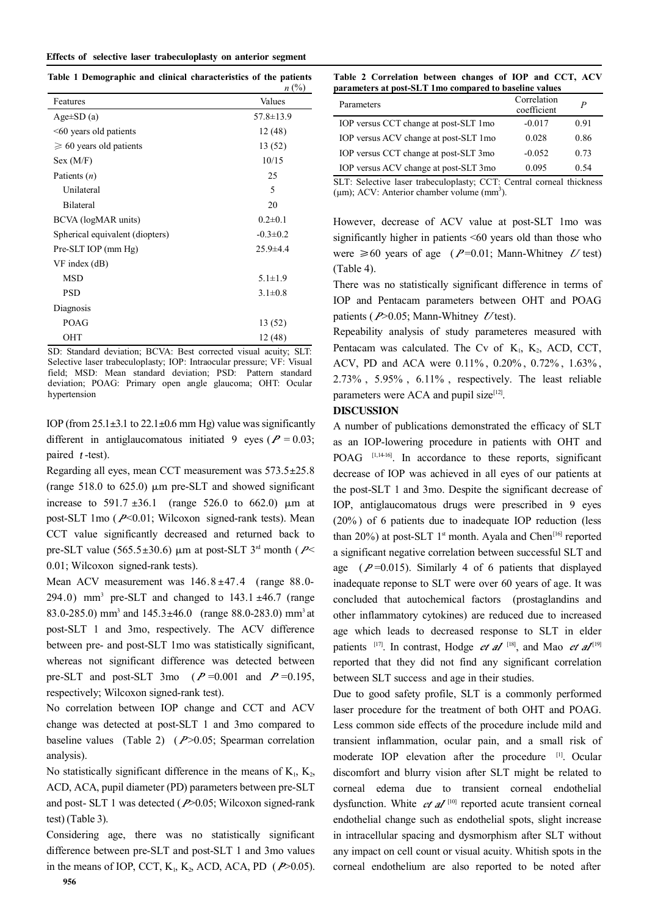#### Effects of selective laser trabeculoplasty on anterior segment

**Table 1 Demographic and clinical characteristics of the patients** 

|                                   | $n\ (\%)$       |
|-----------------------------------|-----------------|
| Features                          | Values          |
| $Age\pm SD(a)$                    | $57.8 \pm 13.9$ |
| $\leq 60$ years old patients      | 12(48)          |
| $\geqslant 60$ years old patients | 13 (52)         |
| Sex (M/F)                         | 10/15           |
| Patients $(n)$                    | 25              |
| Unilateral                        | 5               |
| <b>Bilateral</b>                  | 20              |
| BCVA (logMAR units)               | $0.2 \pm 0.1$   |
| Spherical equivalent (diopters)   | $-0.3 \pm 0.2$  |
| Pre-SLT IOP (mm Hg)               | $25.9 \pm 4.4$  |
| $VF$ index $(dB)$                 |                 |
| <b>MSD</b>                        | $5.1 \pm 1.9$   |
| <b>PSD</b>                        | $3.1 \pm 0.8$   |
| Diagnosis                         |                 |
| POAG                              | 13 (52)         |
| OHT                               | 12(48)          |

SD: Standard deviation; BCVA: Best corrected visual acuity; SLT: Selective laser trabeculoplasty; IOP: Intraocular pressure; VF: Visual field; MSD: Mean standard deviation; PSD: Pattern standard deviation; POAG: Primary open angle glaucoma; OHT: Ocular hypertension

IOP (from  $25.1 \pm 3.1$  to  $22.1 \pm 0.6$  mm Hg) value was significantly different in antiglaucomatous initiated 9 eyes ( $P = 0.03$ ; paired  $t$ -test).

Regarding all eyes, mean CCT measurement was  $573.5 \pm 25.8$ (range 518.0 to 625.0)  $\mu$ m pre-SLT and showed significant increase to 591.7  $\pm 36.1$  (range 526.0 to 662.0)  $\mu$ m at post-SLT 1mo  $(P<0.01$ ; Wilcoxon signed-rank tests). Mean CCT value significantly decreased and returned back to pre-SLT value (565.5 $\pm$ 30.6)  $\mu$ m at post-SLT 3<sup>rd</sup> month ( P< 0.01; Wilcoxon signed-rank tests).

Mean ACV measurement was  $146.8 \pm 47.4$  (range 88.0-294.0) mm<sup>3</sup> pre-SLT and changed to  $143.1 \pm 46.7$  (range 83.0-285.0) mm<sup>3</sup> and  $145.3 \pm 46.0$  (range 88.0-283.0) mm<sup>3</sup> at post-SLT 1 and 3mo, respectively. The ACV difference between pre- and post-SLT 1mo was statistically significant, whereas not significant difference was detected between pre-SLT and post-SLT 3mo ( $P=0.001$  and  $P=0.195$ , respectively; Wilcoxon signed-rank test).

No correlation between IOP change and CCT and ACV change was detected at post-SLT 1 and 3mo compared to baseline values (Table 2)  $(P>0.05;$  Spearman correlation analysis).

No statistically significant difference in the means of  $K_1$ ,  $K_2$ , ACD, ACA, pupil diameter (PD) parameters between pre-SLT and post- SLT 1 was detected  $(P>0.05$ ; Wilcoxon signed-rank test) (Table 3).

Considering age, there was no statistically significant difference between pre-SLT and post-SLT 1 and 3mo values in the means of IOP, CCT,  $K_1$ ,  $K_2$ , ACD, ACA, PD ( $P > 0.05$ ).

**Table 2 Correlation between changes of IOP and CCT, ACV parameters at post-SLT 1mo compared to baseline values**

| Parameters                            | Correlation<br>coefficient | P    |
|---------------------------------------|----------------------------|------|
| IOP versus CCT change at post-SLT 1mo | $-0.017$                   | 0.91 |
| IOP versus ACV change at post-SLT 1mo | 0.028                      | 0.86 |
| IOP versus CCT change at post-SLT 3mo | $-0.052$                   | 0.73 |
| IOP versus ACV change at post-SLT 3mo | 0.095                      | 0.54 |
|                                       |                            |      |

SLT: Selective laser trabeculoplasty; CCT: Central corneal thickness  $(\mu m)$ ; ACV: Anterior chamber volume  $(mm<sup>3</sup>)$ .

However, decrease of ACV value at post-SLT 1mo was significantly higher in patients  $\leq 60$  years old than those who were  $\geq 60$  years of age (  $P=0.01$ ; Mann-Whitney U test) (Table 4).

There was no statistically significant difference in terms of IOP and Pentacam parameters between OHT and POAG patients ( $P > 0.05$ ; Mann-Whitney  $U$ test).

Repeability analysis of study parameteres measured with Pentacam was calculated. The Cv of  $K_1$ ,  $K_2$ , ACD, CCT, ACV, PD and ACA were 0.11% , 0.20% , 0.72% , 1.63% , 2.73% , 5.95% , 6.11% , respectively. The least reliable parameters were ACA and pupil size $[12]$ .

## DISCUSSION

A number of publications demonstrated the efficacy of SLT as an IOP-lowering procedure in patients with OHT and POAG [1,14-16]. In accordance to these reports, significant decrease of IOP was achieved in all eyes of our patients at the post-SLT 1 and 3mo. Despite the significant decrease of IOP, antiglaucomatous drugs were prescribed in 9 eyes (20% ) of 6 patients due to inadequate IOP reduction (less than 20%) at post-SLT  $1<sup>st</sup>$  month. Ayala and Chen<sup>[16]</sup> reported a significant negative correlation between successful SLT and age  $(P=0.015)$ . Similarly 4 of 6 patients that displayed inadequate reponse to SLT were over 60 years of age. It was concluded that autochemical factors (prostaglandins and other inflammatory cytokines) are reduced due to increased age which leads to decreased response to SLT in elder patients [17]. In contrast, Hodge *et al* [18], and Mao *et al*<sup>[19]</sup> reported that they did not find any significant correlation between SLT success and age in their studies.

Due to good safety profile, SLT is a commonly performed laser procedure for the treatment of both OHT and POAG. Less common side effects of the procedure include mild and transient inflammation, ocular pain, and a small risk of moderate IOP elevation after the procedure [1]. Ocular discomfort and blurry vision after SLT might be related to corneal edema due to transient corneal endothelial dysfunction. White  $et \, al$ <sup>[10]</sup> reported acute transient corneal endothelial change such as endothelial spots, slight increase in intracellular spacing and dysmorphism after SLT without any impact on cell count or visual acuity. Whitish spots in the corneal endothelium are also reported to be noted after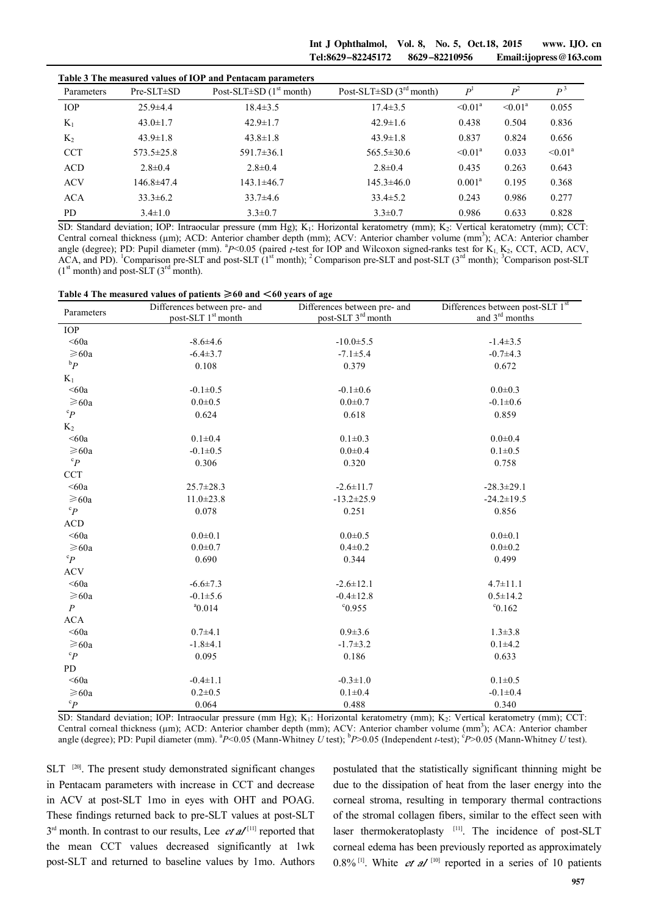Int J Ophthalmol, Vol. 8, No. 5, Oct.18, 2015 www. IJO. cn Tel:8629-82245172 8629-82210956 Email:ijopress@163.com

|            |                  | Table 3 The measured values of IOP and Pentacam parameters |                                           |                |               |               |
|------------|------------------|------------------------------------------------------------|-------------------------------------------|----------------|---------------|---------------|
| Parameters | $Pre-SLT \pm SD$ | Post-SLT $\pm$ SD (1 <sup>st</sup> month)                  | Post-SLT $\pm$ SD (3 <sup>rd</sup> month) | P <sup>1</sup> | $p^2$         | $P^3$         |
| <b>IOP</b> | $25.9 \pm 4.4$   | $18.4 \pm 3.5$                                             | $17.4 \pm 3.5$                            | $\leq 0.01^a$  | $\leq 0.01^a$ | 0.055         |
| $K_1$      | $43.0 \pm 1.7$   | $42.9 \pm 1.7$                                             | $42.9 \pm 1.6$                            | 0.438          | 0.504         | 0.836         |
| $K_2$      | $43.9 \pm 1.8$   | $43.8 \pm 1.8$                                             | $43.9 \pm 1.8$                            | 0.837          | 0.824         | 0.656         |
| <b>CCT</b> | $573.5 \pm 25.8$ | $591.7 \pm 36.1$                                           | $565.5 \pm 30.6$                          | $\leq 0.01^a$  | 0.033         | $\leq 0.01^a$ |
| <b>ACD</b> | $2.8 \pm 0.4$    | $2.8 \pm 0.4$                                              | $2.8 \pm 0.4$                             | 0.435          | 0.263         | 0.643         |
| <b>ACV</b> | $146.8 \pm 47.4$ | $143.1 \pm 46.7$                                           | $145.3 \pm 46.0$                          | $0.001^a$      | 0.195         | 0.368         |
| <b>ACA</b> | $33.3 \pm 6.2$   | $33.7\pm4.6$                                               | $33.4 \pm 5.2$                            | 0.243          | 0.986         | 0.277         |
| PD         | $3.4 \pm 1.0$    | $3.3 \pm 0.7$                                              | $3.3 \pm 0.7$                             | 0.986          | 0.633         | 0.828         |

SD: Standard deviation; IOP: Intraocular pressure (mm Hg); K<sub>1</sub>: Horizontal keratometry (mm); K<sub>2</sub>: Vertical keratometry (mm); CCT: Central corneal thickness (µm); ACD: Anterior chamber depth (mm); ACV: Anterior chamber volume (mm<sup>3</sup>); ACA: Anterior chamber angle (degree); PD: Pupil diameter (mm). <sup>a</sup>P<0.05 (paired *t*-test for IOP and Wilcoxon signed-ranks test for K<sub>1,</sub> K<sub>2</sub>, CCT, ACD, ACV,  $\widehat{ACA}$ , and PD). <sup>1</sup>Comparison pre-SLT and post-SLT (1<sup>st</sup> month); <sup>2</sup> Comparison pre-SLT and post-SLT (3<sup>rd</sup> month); <sup>3</sup>Comparison post-SLT  $(1<sup>st</sup> month)$  and post-SLT  $(3<sup>rd</sup> month)$ .

|  | Table 4 The measured values of patients $\geq 60$ and $\leq 60$ years of age |  |
|--|------------------------------------------------------------------------------|--|
|--|------------------------------------------------------------------------------|--|

| Parameters       | Differences between pre- and   | Differences between pre- and   | Differences between post-SLT 1st |  |
|------------------|--------------------------------|--------------------------------|----------------------------------|--|
|                  | post-SLT 1 <sup>st</sup> month | post-SLT 3 <sup>rd</sup> month | and 3 <sup>rd</sup> months       |  |
| <b>IOP</b>       |                                |                                |                                  |  |
| < 60a            | $-8.6 \pm 4.6$                 | $-10.0 \pm 5.5$                | $-1.4 \pm 3.5$                   |  |
| $\geq 60a$       | $-6.4 \pm 3.7$                 | $-7.1 \pm 5.4$                 | $-0.7 + 4.3$                     |  |
| ${}^{\rm b}P$    | 0.108                          | 0.379                          | 0.672                            |  |
| $K_1$            |                                |                                |                                  |  |
| < 60a            | $-0.1 \pm 0.5$                 | $-0.1 \pm 0.6$                 | $0.0 \pm 0.3$                    |  |
| $\geq 60a$       | $0.0 + 0.5$                    | $0.0 \pm 0.7$                  | $-0.1 \pm 0.6$                   |  |
| ${}^cP$          | 0.624                          | 0.618                          | 0.859                            |  |
| $K_2$            |                                |                                |                                  |  |
| <60a             | $0.1 \pm 0.4$                  | $0.1 \pm 0.3$                  | $0.0 + 0.4$                      |  |
| $\geq 60a$       | $-0.1 \pm 0.5$                 | $0.0 + 0.4$                    | $0.1 \pm 0.5$                    |  |
| $^\mathrm{c}P$   | 0.306                          | 0.320                          | 0.758                            |  |
| <b>CCT</b>       |                                |                                |                                  |  |
| < 60a            | $25.7 \pm 28.3$                | $-2.6 \pm 11.7$                | $-28.3 \pm 29.1$                 |  |
| $\geq 60a$       | $11.0 \pm 23.8$                | $-13.2 \pm 25.9$               | $-24.2 \pm 19.5$                 |  |
| ${}^cP$          | 0.078                          | 0.251                          | 0.856                            |  |
| <b>ACD</b>       |                                |                                |                                  |  |
| < 60a            | $0.0 \pm 0.1$                  | $0.0 + 0.5$                    | $0.0 + 0.1$                      |  |
| $\geq 60a$       | $0.0 + 0.7$                    | $0.4 \pm 0.2$                  | $0.0 + 0.2$                      |  |
| ${}^cP$          | 0.690                          | 0.344                          | 0.499                            |  |
| <b>ACV</b>       |                                |                                |                                  |  |
| < 60a            | $-6.6 \pm 7.3$                 | $-2.6 \pm 12.1$                | $4.7 \pm 11.1$                   |  |
| $\geq 60a$       | $-0.1 \pm 5.6$                 | $-0.4 \pm 12.8$                | $0.5 \pm 14.2$                   |  |
| $\boldsymbol{P}$ | $a_{0.014}$                    | °0.955                         | $\degree$ 0.162                  |  |
| <b>ACA</b>       |                                |                                |                                  |  |
| < 60a            | $0.7 + 4.1$                    | $0.9 \pm 3.6$                  | $1.3 \pm 3.8$                    |  |
| $\geqslant$ 60a  | $-1.8+4.1$                     | $-1.7 \pm 3.2$                 | $0.1 + 4.2$                      |  |
| ${}^cP$          | 0.095                          | 0.186                          | 0.633                            |  |
| PD               |                                |                                |                                  |  |
| < 60a            | $-0.4 \pm 1.1$                 | $-0.3 \pm 1.0$                 | $0.1 \pm 0.5$                    |  |
| $\geq 60a$       | $0.2 \pm 0.5$                  | $0.1 \pm 0.4$                  | $-0.1 \pm 0.4$                   |  |
| ${}^cP$          | 0.064                          | 0.488                          | 0.340                            |  |

SD: Standard deviation; IOP: Intraocular pressure (mm Hg); K<sub>1</sub>: Horizontal keratometry (mm); K<sub>2</sub>: Vertical keratometry (mm); CCT: Central corneal thickness (µm); ACD: Anterior chamber depth (mm); ACV: Anterior chamber volume (mm<sup>3</sup>); ACA: Anterior chamber angle (degree); PD: Pupil diameter (mm). <sup>a</sup>P<0.05 (Mann-Whitney *U* test); <sup>b</sup>P>0.05 (Independent *t*-test); <sup>c</sup>P>0.05 (Mann-Whitney *U* test).

SLT <sup>[20]</sup>. The present study demonstrated significant changes in Pentacam parameters with increase in CCT and decrease in ACV at post-SLT 1mo in eyes with OHT and POAG. These findings returned back to pre-SLT values at post-SLT  $3<sup>rd</sup>$  month. In contrast to our results, Lee *et al*<sup>[11]</sup> reported that the mean CCT values decreased significantly at 1wk post-SLT and returned to baseline values by 1mo. Authors postulated that the statistically significant thinning might be due to the dissipation of heat from the laser energy into the corneal stroma, resulting in temporary thermal contractions of the stromal collagen fibers, similar to the effect seen with laser thermokeratoplasty [11]. The incidence of post-SLT corneal edema has been previously reported as approximately  $0.8\%$ <sup>[1]</sup>. White *et al* <sup>[10]</sup> reported in a series of 10 patients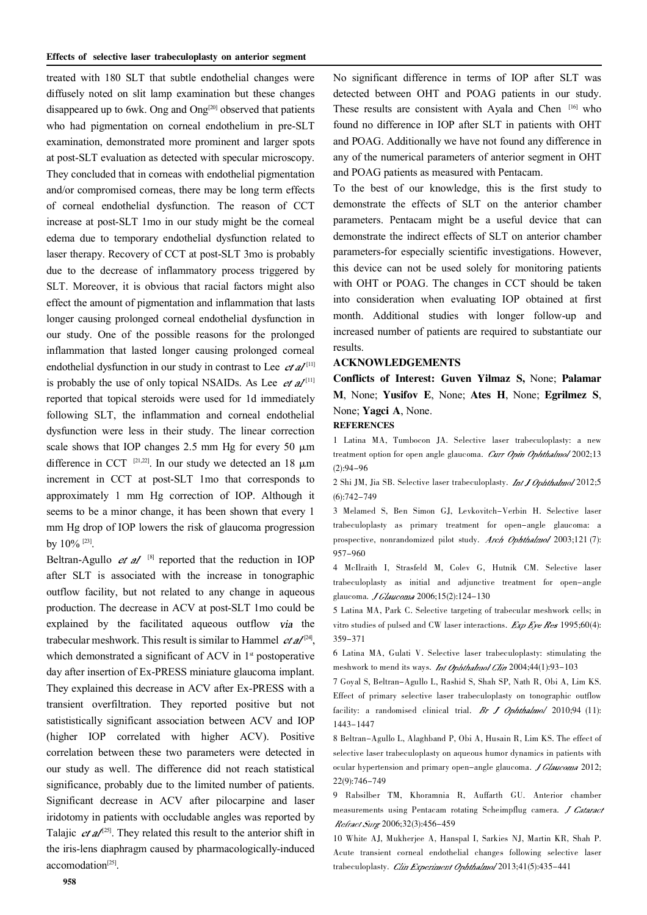treated with 180 SLT that subtle endothelial changes were diffusely noted on slit lamp examination but these changes disappeared up to 6wk. Ong and Ong<sup>[20]</sup> observed that patients who had pigmentation on corneal endothelium in pre-SLT examination, demonstrated more prominent and larger spots at post-SLT evaluation as detected with specular microscopy. They concluded that in corneas with endothelial pigmentation and/or compromised corneas, there may be long term effects of corneal endothelial dysfunction. The reason of CCT increase at post-SLT 1mo in our study might be the corneal edema due to temporary endothelial dysfunction related to laser therapy. Recovery of CCT at post-SLT 3mo is probably due to the decrease of inflammatory process triggered by SLT. Moreover, it is obvious that racial factors might also effect the amount of pigmentation and inflammation that lasts longer causing prolonged corneal endothelial dysfunction in our study. One of the possible reasons for the prolonged inflammation that lasted longer causing prolonged corneal endothelial dysfunction in our study in contrast to Lee  $et al^{[1]}$ is probably the use of only topical NSAIDs. As Lee  $et \, al^{[1]}$ reported that topical steroids were used for 1d immediately following SLT, the inflammation and corneal endothelial dysfunction were less in their study. The linear correction scale shows that IOP changes 2.5 mm Hg for every 50  $\mu$ m difference in CCT  $^{[21,22]}$ . In our study we detected an 18  $\mu$ m increment in CCT at post-SLT 1mo that corresponds to approximately 1 mm Hg correction of IOP. Although it seems to be a minor change, it has been shown that every 1 mm Hg drop of IOP lowers the risk of glaucoma progression by 10% [23].

Beltran-Agullo  $et$  al<sup>[8]</sup> reported that the reduction in IOP after SLT is associated with the increase in tonographic outflow facility, but not related to any change in aqueous production. The decrease in ACV at post-SLT 1mo could be explained by the facilitated aqueous outflow the trabecular meshwork. This result is similar to Hammel  $et \, al^{[24]}$ , which demonstrated a significant of ACV in  $1<sup>st</sup>$  postoperative day after insertion of Ex-PRESS miniature glaucoma implant. They explained this decrease in ACV after Ex-PRESS with a transient overfiltration. They reported positive but not satististically significant association between ACV and IOP (higher IOP correlated with higher ACV). Positive correlation between these two parameters were detected in our study as well. The difference did not reach statistical significance, probably due to the limited number of patients. Significant decrease in ACV after pilocarpine and laser iridotomy in patients with occludable angles was reported by Talajic  $et \, \mathcal{A}^{[25]}$ . They related this result to the anterior shift in the iris-lens diaphragm caused by pharmacologically-induced accomodation<sup>[25]</sup>.

No significant difference in terms of IOP after SLT was detected between OHT and POAG patients in our study. These results are consistent with Ayala and Chen [16] who found no difference in IOP after SLT in patients with OHT and POAG. Additionally we have not found any difference in any of the numerical parameters of anterior segment in OHT and POAG patients as measured with Pentacam.

To the best of our knowledge, this is the first study to demonstrate the effects of SLT on the anterior chamber parameters. Pentacam might be a useful device that can demonstrate the indirect effects of SLT on anterior chamber parameters-for especially scientific investigations. However, this device can not be used solely for monitoring patients with OHT or POAG. The changes in CCT should be taken into consideration when evaluating IOP obtained at first month. Additional studies with longer follow-up and increased number of patients are required to substantiate our results.

### ACKNOWLEDGEMENTS

Conflicts of Interest: Guven Yilmaz S, None; Palamar M, None; Yusifov E, None; Ates H, None; Egrilmez S, None; Yagci A, None.

## **REFERENCES**

1 Latina MA, Tumbocon JA. Selective laser trabeculoplasty: a new treatment option for open angle glaucoma. Curr Opin Ophthalmol 2002;13  $(2):94-96$ 

2 Shi JM, Jia SB. Selective laser trabeculoplasty. *Int J Ophthalmol* 2012;5 (6):742-749

3 Melamed S, Ben Simon GJ, Levkovitch-Verbin H. Selective laser trabeculoplasty as primary treatment for open-angle glaucoma: a prospective, nonrandomized pilot study. Arch Ophthalmol 2003;121 (7): 957-960

4 McIlraith I, Strasfeld M, Colev G, Hutnik CM. Selective laser trabeculoplasty as initial and adjunctive treatment for open-angle glaucoma. *J Glaucoma* 2006;15(2):124-130

5 Latina MA, Park C. Selective targeting of trabecular meshwork cells; in vitro studies of pulsed and CW laser interactions.  $Exp$  Eye Res 1995;60(4): 359-371

6 Latina MA, Gulati V. Selective laser trabeculoplasty: stimulating the meshwork to mend its ways. *Int Ophthalmol Clin* 2004;44(1):93-103

7 Goyal S, Beltran-Agullo L, Rashid S, Shah SP, Nath R, Obi A, Lim KS. Effect of primary selective laser trabeculoplasty on tonographic outflow facility: a randomised clinical trial. Br J Ophthalmol 2010;94 (11): 1443-1447

8 Beltran-Agullo L, Alaghband P, Obi A, Husain R, Lim KS. The effect of selective laser trabeculoplasty on aqueous humor dynamics in patients with ocular hypertension and primary open-angle glaucoma. J Glaucoma 2012; 22(9):746-749

9 Rabsilber TM, Khoramnia R, Auffarth GU. Anterior chamber measurements using Pentacam rotating Scheimpflug camera. J Cataract Refract Surg 2006;32(3):456-459

10 White AJ, Mukherjee A, Hanspal I, Sarkies NJ, Martin KR, Shah P. Acute transient corneal endothelial changes following selective laser trabeculoplasty. *Clin Experiment Ophthalmol* 2013;41(5):435-441